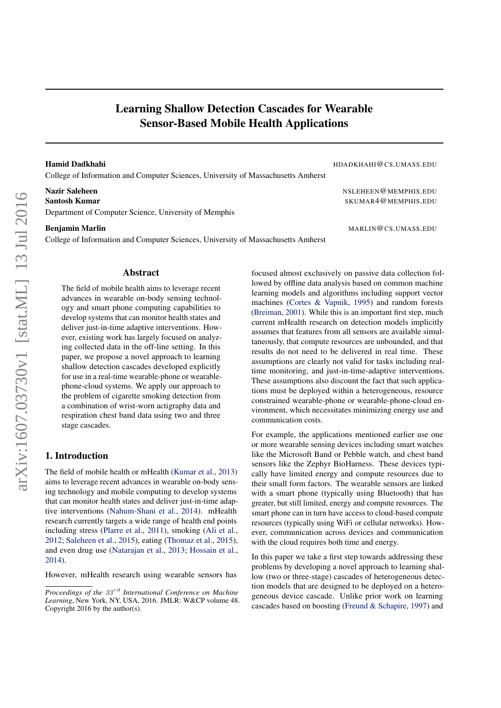# Learning Shallow Detection Cascades for Wearable Sensor-Based Mobile Health Applications

College of Information and Computer Sciences, University of Massachusetts Amherst

Department of Computer Science, University of Memphis

College of Information and Computer Sciences, University of Massachusetts Amherst

Hamid Dadkhahi HDADKHAHI@CS.UMASS.EDU

Nazir Saleheen NSLEHEEN @MEMPHIS.EDU Santosh Kumar SKUMAR4@MEMPHIS.EDU

Benjamin Marlin MARLIN@CS.UMASS.EDU

### Abstract

The field of mobile health aims to leverage recent advances in wearable on-body sensing technology and smart phone computing capabilities to develop systems that can monitor health states and deliver just-in-time adaptive interventions. However, existing work has largely focused on analyzing collected data in the off-line setting. In this paper, we propose a novel approach to learning shallow detection cascades developed explicitly for use in a real-time wearable-phone or wearablephone-cloud systems. We apply our approach to the problem of cigarette smoking detection from a combination of wrist-worn actigraphy data and respiration chest band data using two and three stage cascades.

# 1. Introduction

The field of mobile health or mHealth (Kumar et al., 2013) aims to leverage recent advances in wearable on-body sensing technology and mobile computing to develop systems that can monitor health states and deliver just-in-time adaptive interventions (Nahum-Shani et al., 2014). mHealth research currently targets a wide range of health end points including stress (Plarre et al., 2011), smoking (Ali et al., 2012; Saleheen et al., 2015), eating (Thomaz et al., 2015), and even drug use (Natarajan et al., 2013; Hossain et al., 2014).

However, mHealth research using wearable sensors has

focused almost exclusively on passive data collection followed by offline data analysis based on common machine learning models and algorithms including support vector machines (Cortes & Vapnik, 1995) and random forests (Breiman, 2001). While this is an important first step, much current mHealth research on detection models implicitly assumes that features from all sensors are available simultaneously, that compute resources are unbounded, and that results do not need to be delivered in real time. These assumptions are clearly not valid for tasks including realtime monitoring, and just-in-time-adaptive interventions. These assumptions also discount the fact that such applications must be deployed within a heterogeneous, resource constrained wearable-phone or wearable-phone-cloud environment, which necessitates minimizing energy use and communication costs.

For example, the applications mentioned earlier use one or more wearable sensing devices including smart watches like the Microsoft Band or Pebble watch, and chest band sensors like the Zephyr BioHarness. These devices typically have limited energy and compute resources due to their small form factors. The wearable sensors are linked with a smart phone (typically using Bluetooth) that has greater, but still limited, energy and compute resources. The smart phone can in turn have access to cloud-based compute resources (typically using WiFi or cellular networks). However, communication across devices and communication with the cloud requires both time and energy.

In this paper we take a first step towards addressing these problems by developing a novel approach to learning shallow (two or three-stage) cascades of heterogeneous detection models that are designed to be deployed on a heterogeneous device cascade. Unlike prior work on learning cascades based on boosting (Freund & Schapire, 1997) and

*Proceedings of the* 33<sup>rd</sup> *International Conference on Machine Learning*, New York, NY, USA, 2016. JMLR: W&CP volume 48. Copyright 2016 by the author(s).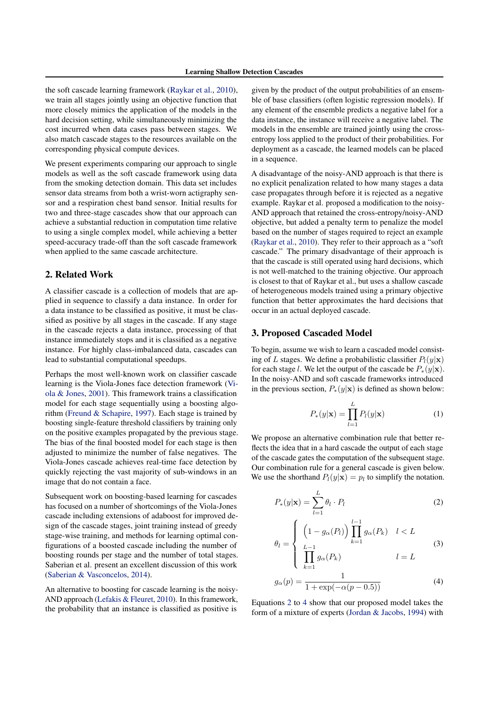the soft cascade learning framework (Raykar et al., 2010), we train all stages jointly using an objective function that more closely mimics the application of the models in the hard decision setting, while simultaneously minimizing the cost incurred when data cases pass between stages. We also match cascade stages to the resources available on the corresponding physical compute devices.

We present experiments comparing our approach to single models as well as the soft cascade framework using data from the smoking detection domain. This data set includes sensor data streams from both a wrist-worn actigraphy sensor and a respiration chest band sensor. Initial results for two and three-stage cascades show that our approach can achieve a substantial reduction in computation time relative to using a single complex model, while achieving a better speed-accuracy trade-off than the soft cascade framework when applied to the same cascade architecture.

# 2. Related Work

A classifier cascade is a collection of models that are applied in sequence to classify a data instance. In order for a data instance to be classified as positive, it must be classified as positive by all stages in the cascade. If any stage in the cascade rejects a data instance, processing of that instance immediately stops and it is classified as a negative instance. For highly class-imbalanced data, cascades can lead to substantial computational speedups.

Perhaps the most well-known work on classifier cascade learning is the Viola-Jones face detection framework (Viola & Jones, 2001). This framework trains a classification model for each stage sequentially using a boosting algorithm (Freund & Schapire, 1997). Each stage is trained by boosting single-feature threshold classifiers by training only on the positive examples propagated by the previous stage. The bias of the final boosted model for each stage is then adjusted to minimize the number of false negatives. The Viola-Jones cascade achieves real-time face detection by quickly rejecting the vast majority of sub-windows in an image that do not contain a face.

Subsequent work on boosting-based learning for cascades has focused on a number of shortcomings of the Viola-Jones cascade including extensions of adaboost for improved design of the cascade stages, joint training instead of greedy stage-wise training, and methods for learning optimal configurations of a boosted cascade including the number of boosting rounds per stage and the number of total stages. Saberian et al. present an excellent discussion of this work (Saberian & Vasconcelos, 2014).

An alternative to boosting for cascade learning is the noisy-AND approach (Lefakis & Fleuret, 2010). In this framework, the probability that an instance is classified as positive is

given by the product of the output probabilities of an ensemble of base classifiers (often logistic regression models). If any element of the ensemble predicts a negative label for a data instance, the instance will receive a negative label. The models in the ensemble are trained jointly using the crossentropy loss applied to the product of their probabilities. For deployment as a cascade, the learned models can be placed in a sequence.

A disadvantage of the noisy-AND approach is that there is no explicit penalization related to how many stages a data case propagates through before it is rejected as a negative example. Raykar et al. proposed a modification to the noisy-AND approach that retained the cross-entropy/noisy-AND objective, but added a penalty term to penalize the model based on the number of stages required to reject an example (Raykar et al., 2010). They refer to their approach as a "soft cascade." The primary disadvantage of their approach is that the cascade is still operated using hard decisions, which is not well-matched to the training objective. Our approach is closest to that of Raykar et al., but uses a shallow cascade of heterogeneous models trained using a primary objective function that better approximates the hard decisions that occur in an actual deployed cascade.

# 3. Proposed Cascaded Model

To begin, assume we wish to learn a cascaded model consisting of L stages. We define a probabilistic classifier  $P_l(y|\mathbf{x})$ for each stage l. We let the output of the cascade be  $P_*(y|\mathbf{x})$ . In the noisy-AND and soft cascade frameworks introduced in the previous section,  $P_*(y|\mathbf{x})$  is defined as shown below:

$$
P_*(y|\mathbf{x}) = \prod_{l=1}^{L} P_l(y|\mathbf{x})
$$
 (1)

We propose an alternative combination rule that better reflects the idea that in a hard cascade the output of each stage of the cascade gates the computation of the subsequent stage. Our combination rule for a general cascade is given below. We use the shorthand  $P_l(y|\mathbf{x}) = p_l$  to simplify the notation.

$$
P_*(y|\mathbf{x}) = \sum_{l=1}^{L} \theta_l \cdot P_l \tag{2}
$$

$$
\theta_l = \begin{cases}\n\left(1 - g_\alpha(P_l)\right) \prod_{k=1}^{l-1} g_\alpha(P_k) & l < L \\
\prod_{k=1}^{L-1} g_\alpha(P_k) & l = L\n\end{cases}
$$
\n(3)

$$
g_{\alpha}(p) = \frac{1}{1 + \exp(-\alpha(p - 0.5))}
$$
 (4)

Equations 2 to 4 show that our proposed model takes the form of a mixture of experts (Jordan & Jacobs, 1994) with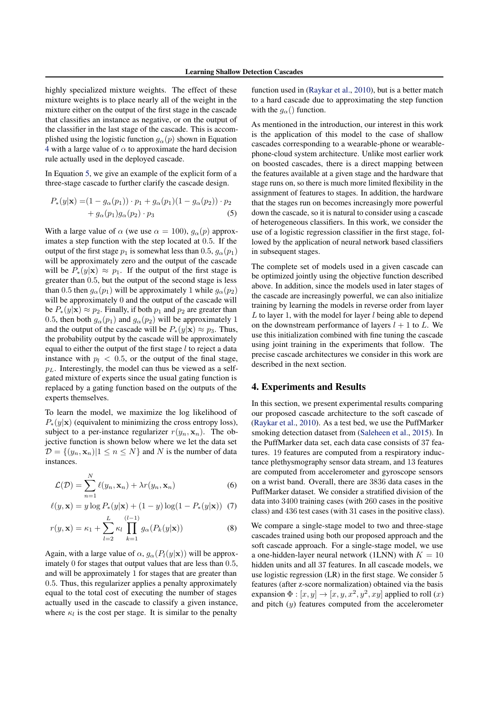highly specialized mixture weights. The effect of these mixture weights is to place nearly all of the weight in the mixture either on the output of the first stage in the cascade that classifies an instance as negative, or on the output of the classifier in the last stage of the cascade. This is accomplished using the logistic function  $g_{\alpha}(p)$  shown in Equation 4 with a large value of  $\alpha$  to approximate the hard decision rule actually used in the deployed cascade.

In Equation 5, we give an example of the explicit form of a three-stage cascade to further clarify the cascade design.

$$
P_*(y|\mathbf{x}) = (1 - g_\alpha(p_1)) \cdot p_1 + g_\alpha(p_1)(1 - g_\alpha(p_2)) \cdot p_2 + g_\alpha(p_1)g_\alpha(p_2) \cdot p_3
$$
(5)

With a large value of  $\alpha$  (we use  $\alpha = 100$ ),  $g_{\alpha}(p)$  approximates a step function with the step located at 0.5. If the output of the first stage  $p_1$  is somewhat less than 0.5,  $g_\alpha(p_1)$ will be approximately zero and the output of the cascade will be  $P_*(y|\mathbf{x}) \approx p_1$ . If the output of the first stage is greater than 0.5, but the output of the second stage is less than 0.5 then  $q_{\alpha}(p_1)$  will be approximately 1 while  $q_{\alpha}(p_2)$ will be approximately 0 and the output of the cascade will be  $P_*(y|\mathbf{x}) \approx p_2$ . Finally, if both  $p_1$  and  $p_2$  are greater than 0.5, then both  $g_{\alpha}(p_1)$  and  $g_{\alpha}(p_2)$  will be approximately 1 and the output of the cascade will be  $P_*(y|\mathbf{x}) \approx p_3$ . Thus, the probability output by the cascade will be approximately equal to either the output of the first stage  $l$  to reject a data instance with  $p_l \, < \, 0.5$ , or the output of the final stage,  $p<sub>L</sub>$ . Interestingly, the model can thus be viewed as a selfgated mixture of experts since the usual gating function is replaced by a gating function based on the outputs of the experts themselves.

To learn the model, we maximize the log likelihood of  $P_*(y|\mathbf{x})$  (equivalent to minimizing the cross entropy loss), subject to a per-instance regularizer  $r(y_n, \mathbf{x}_n)$ . The objective function is shown below where we let the data set  $\mathcal{D} = \{(y_n, \mathbf{x}_n) | 1 \leq n \leq N\}$  and N is the number of data instances.

$$
\mathcal{L}(\mathcal{D}) = \sum_{n=1}^{N} \ell(y_n, \mathbf{x}_n) + \lambda r(y_n, \mathbf{x}_n)
$$
\n(6)

$$
\ell(y, \mathbf{x}) = y \log P_*(y|\mathbf{x}) + (1 - y) \log(1 - P_*(y|\mathbf{x})) \tag{7}
$$

$$
r(y, \mathbf{x}) = \kappa_1 + \sum_{l=2}^{L} \kappa_l \prod_{k=1}^{(l-1)} g_\alpha(P_k(y|\mathbf{x}))
$$
(8)

Again, with a large value of  $\alpha$ ,  $g_{\alpha}(P_l(y|\mathbf{x}))$  will be approximately 0 for stages that output values that are less than 0.5, and will be approximately 1 for stages that are greater than 0.5. Thus, this regularizer applies a penalty approximately equal to the total cost of executing the number of stages actually used in the cascade to classify a given instance, where  $\kappa_l$  is the cost per stage. It is similar to the penalty

function used in (Raykar et al., 2010), but is a better match to a hard cascade due to approximating the step function with the  $q_{\alpha}$ () function.

As mentioned in the introduction, our interest in this work is the application of this model to the case of shallow cascades corresponding to a wearable-phone or wearablephone-cloud system architecture. Unlike most earlier work on boosted cascades, there is a direct mapping between the features available at a given stage and the hardware that stage runs on, so there is much more limited flexibility in the assignment of features to stages. In addition, the hardware that the stages run on becomes increasingly more powerful down the cascade, so it is natural to consider using a cascade of heterogeneous classifiers. In this work, we consider the use of a logistic regression classifier in the first stage, followed by the application of neural network based classifiers in subsequent stages.

The complete set of models used in a given cascade can be optimized jointly using the objective function described above. In addition, since the models used in later stages of the cascade are increasingly powerful, we can also initialize training by learning the models in reverse order from layer  $L$  to layer 1, with the model for layer  $l$  being able to depend on the downstream performance of layers  $l + 1$  to L. We use this initialization combined with fine tuning the cascade using joint training in the experiments that follow. The precise cascade architectures we consider in this work are described in the next section.

## 4. Experiments and Results

In this section, we present experimental results comparing our proposed cascade architecture to the soft cascade of (Raykar et al., 2010). As a test bed, we use the PuffMarker smoking detection dataset from (Saleheen et al., 2015). In the PuffMarker data set, each data case consists of 37 features. 19 features are computed from a respiratory inductance plethysmography sensor data stream, and 13 features are computed from accelerometer and gyroscope sensors on a wrist band. Overall, there are 3836 data cases in the PuffMarker dataset. We consider a stratified division of the data into 3400 training cases (with 260 cases in the positive class) and 436 test cases (with 31 cases in the positive class).

We compare a single-stage model to two and three-stage cascades trained using both our proposed approach and the soft cascade approach. For a single-stage model, we use a one-hidden-layer neural network (1LNN) with  $K = 10$ hidden units and all 37 features. In all cascade models, we use logistic regression (LR) in the first stage. We consider 5 features (after z-score normalization) obtained via the basis expansion  $\Phi : [x, y] \to [x, y, x^2, y^2, xy]$  applied to roll  $(x)$ and pitch  $(y)$  features computed from the accelerometer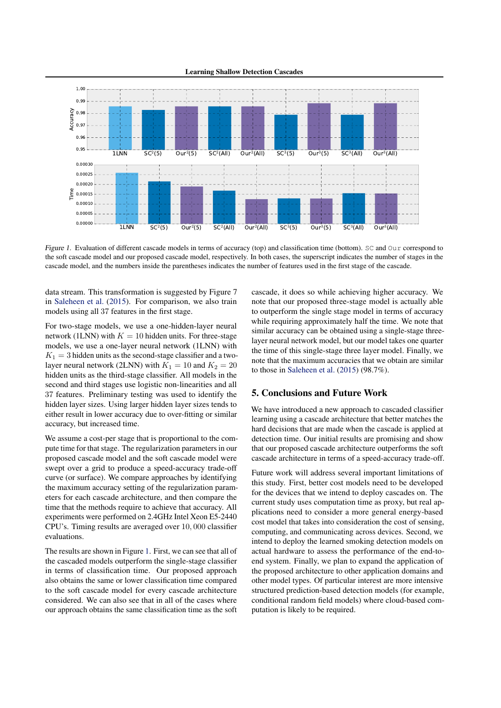Learning Shallow Detection Cascades



Figure 1. Evaluation of different cascade models in terms of accuracy (top) and classification time (bottom). SC and Our correspond to the soft cascade model and our proposed cascade model, respectively. In both cases, the superscript indicates the number of stages in the cascade model, and the numbers inside the parentheses indicates the number of features used in the first stage of the cascade.

data stream. This transformation is suggested by Figure 7 in Saleheen et al. (2015). For comparison, we also train models using all 37 features in the first stage.

For two-stage models, we use a one-hidden-layer neural network (1LNN) with  $K = 10$  hidden units. For three-stage models, we use a one-layer neural network (1LNN) with  $K_1 = 3$  hidden units as the second-stage classifier and a twolayer neural network (2LNN) with  $K_1 = 10$  and  $K_2 = 20$ hidden units as the third-stage classifier. All models in the second and third stages use logistic non-linearities and all 37 features. Preliminary testing was used to identify the hidden layer sizes. Using larger hidden layer sizes tends to either result in lower accuracy due to over-fitting or similar accuracy, but increased time.

We assume a cost-per stage that is proportional to the compute time for that stage. The regularization parameters in our proposed cascade model and the soft cascade model were swept over a grid to produce a speed-accuracy trade-off curve (or surface). We compare approaches by identifying the maximum accuracy setting of the regularization parameters for each cascade architecture, and then compare the time that the methods require to achieve that accuracy. All experiments were performed on 2.4GHz Intel Xeon E5-2440 CPU's. Timing results are averaged over 10, 000 classifier evaluations.

The results are shown in Figure 1. First, we can see that all of the cascaded models outperform the single-stage classifier in terms of classification time. Our proposed approach also obtains the same or lower classification time compared to the soft cascade model for every cascade architecture considered. We can also see that in all of the cases where our approach obtains the same classification time as the soft cascade, it does so while achieving higher accuracy. We note that our proposed three-stage model is actually able to outperform the single stage model in terms of accuracy while requiring approximately half the time. We note that similar accuracy can be obtained using a single-stage threelayer neural network model, but our model takes one quarter the time of this single-stage three layer model. Finally, we note that the maximum accuracies that we obtain are similar to those in Saleheen et al. (2015) (98.7%).

# 5. Conclusions and Future Work

We have introduced a new approach to cascaded classifier learning using a cascade architecture that better matches the hard decisions that are made when the cascade is applied at detection time. Our initial results are promising and show that our proposed cascade architecture outperforms the soft cascade architecture in terms of a speed-accuracy trade-off.

Future work will address several important limitations of this study. First, better cost models need to be developed for the devices that we intend to deploy cascades on. The current study uses computation time as proxy, but real applications need to consider a more general energy-based cost model that takes into consideration the cost of sensing, computing, and communicating across devices. Second, we intend to deploy the learned smoking detection models on actual hardware to assess the performance of the end-toend system. Finally, we plan to expand the application of the proposed architecture to other application domains and other model types. Of particular interest are more intensive structured prediction-based detection models (for example, conditional random field models) where cloud-based computation is likely to be required.